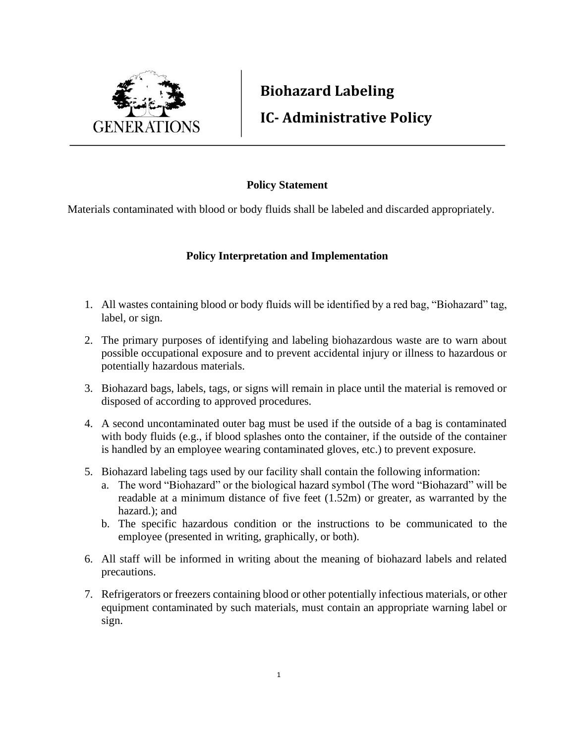

## **Biohazard Labeling IC- Administrative Policy**

## **Policy Statement**

Materials contaminated with blood or body fluids shall be labeled and discarded appropriately.

## **Policy Interpretation and Implementation**

- 1. All wastes containing blood or body fluids will be identified by a red bag, "Biohazard" tag, label, or sign.
- 2. The primary purposes of identifying and labeling biohazardous waste are to warn about possible occupational exposure and to prevent accidental injury or illness to hazardous or potentially hazardous materials.
- 3. Biohazard bags, labels, tags, or signs will remain in place until the material is removed or disposed of according to approved procedures.
- 4. A second uncontaminated outer bag must be used if the outside of a bag is contaminated with body fluids (e.g., if blood splashes onto the container, if the outside of the container is handled by an employee wearing contaminated gloves, etc.) to prevent exposure.
- 5. Biohazard labeling tags used by our facility shall contain the following information:
	- a. The word "Biohazard" or the biological hazard symbol (The word "Biohazard" will be readable at a minimum distance of five feet (1.52m) or greater, as warranted by the hazard.); and
	- b. The specific hazardous condition or the instructions to be communicated to the employee (presented in writing, graphically, or both).
- 6. All staff will be informed in writing about the meaning of biohazard labels and related precautions.
- 7. Refrigerators or freezers containing blood or other potentially infectious materials, or other equipment contaminated by such materials, must contain an appropriate warning label or sign.